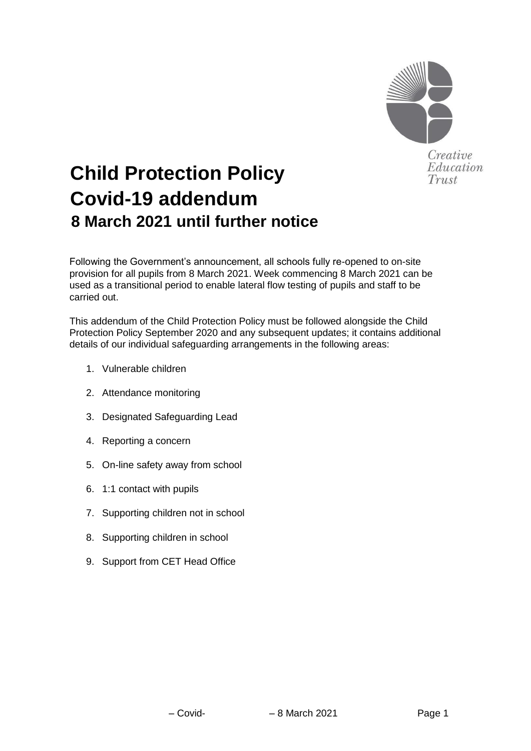

# **Child Protection Policy Covid-19 addendum 8 March 2021 until further notice**

Following the Government's announcement, all schools fully re-opened to on-site provision for all pupils from 8 March 2021. Week commencing 8 March 2021 can be used as a transitional period to enable lateral flow testing of pupils and staff to be carried out.

This addendum of the Child Protection Policy must be followed alongside the Child Protection Policy September 2020 and any subsequent updates; it contains additional details of our individual safeguarding arrangements in the following areas:

- 1. Vulnerable children
- 2. Attendance monitoring
- 3. Designated Safeguarding Lead
- 4. Reporting a concern
- 5. On-line safety away from school
- 6. 1:1 contact with pupils
- 7. Supporting children not in school
- 8. Supporting children in school
- 9. Support from CET Head Office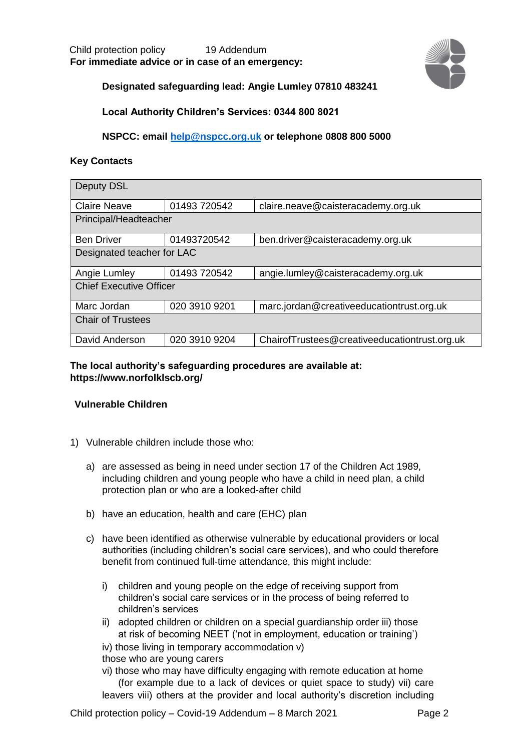

# **Designated safeguarding lead: Angie Lumley 07810 483241**

**Local Authority Children's Services: 0344 800 8021** 

**NSPCC: email help@nspcc.org.uk or telephone 0808 800 5000** 

## **Key Contacts**

| <b>Deputy DSL</b>              |               |                                               |
|--------------------------------|---------------|-----------------------------------------------|
| <b>Claire Neave</b>            | 01493 720542  | claire.neave@caisteracademy.org.uk            |
| Principal/Headteacher          |               |                                               |
| <b>Ben Driver</b>              | 01493720542   | ben.driver@caisteracademy.org.uk              |
| Designated teacher for LAC     |               |                                               |
| Angie Lumley                   | 01493 720542  | angie.lumley@caisteracademy.org.uk            |
| <b>Chief Executive Officer</b> |               |                                               |
| Marc Jordan                    | 020 3910 9201 | marc.jordan@creativeeducationtrust.org.uk     |
| <b>Chair of Trustees</b>       |               |                                               |
| David Anderson                 | 020 3910 9204 | ChairofTrustees@creativeeducationtrust.org.uk |

## **The local authority's safeguarding procedures are available at: https://www.norfolklscb.org/**

# **Vulnerable Children**

- 1) Vulnerable children include those who:
	- a) are assessed as being in need under section 17 of the Children Act 1989, including children and young people who have a child in need plan, a child protection plan or who are a looked-after child
	- b) have an education, health and care (EHC) plan
	- c) have been identified as otherwise vulnerable by educational providers or local authorities (including children's social care services), and who could therefore benefit from continued full-time attendance, this might include:
		- i) children and young people on the edge of receiving support from children's social care services or in the process of being referred to children's services
		- ii) adopted children or children on a special guardianship order iii) those at risk of becoming NEET ('not in employment, education or training')
		- iv) those living in temporary accommodation v)

those who are young carers

vi) those who may have difficulty engaging with remote education at home (for example due to a lack of devices or quiet space to study) vii) care leavers viii) others at the provider and local authority's discretion including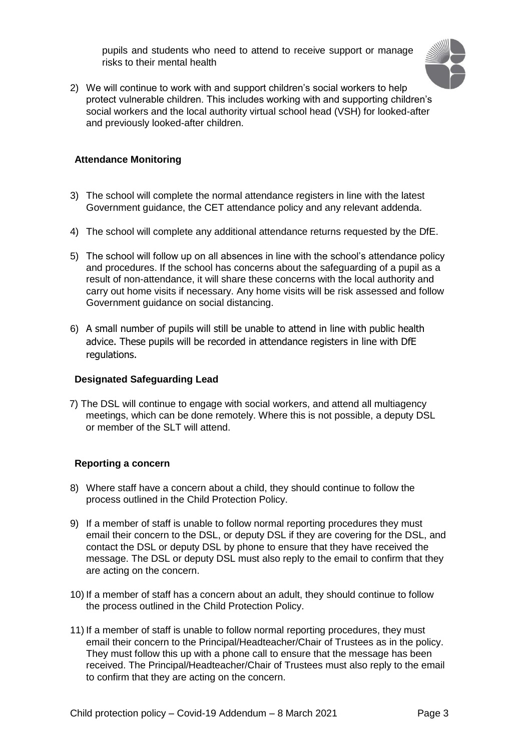pupils and students who need to attend to receive support or manage risks to their mental health



2) We will continue to work with and support children's social workers to help protect vulnerable children. This includes working with and supporting children's social workers and the local authority virtual school head (VSH) for looked-after and previously looked-after children.

#### **Attendance Monitoring**

- 3) The school will complete the normal attendance registers in line with the latest Government guidance, the CET attendance policy and any relevant addenda.
- 4) The school will complete any additional attendance returns requested by the DfE.
- 5) The school will follow up on all absences in line with the school's attendance policy and procedures. If the school has concerns about the safeguarding of a pupil as a result of non-attendance, it will share these concerns with the local authority and carry out home visits if necessary. Any home visits will be risk assessed and follow Government guidance on social distancing.
- 6) A small number of pupils will still be unable to attend in line with public health advice. These pupils will be recorded in attendance registers in line with DfE regulations.

#### **Designated Safeguarding Lead**

7) The DSL will continue to engage with social workers, and attend all multiagency meetings, which can be done remotely. Where this is not possible, a deputy DSL or member of the SLT will attend.

### **Reporting a concern**

- 8) Where staff have a concern about a child, they should continue to follow the process outlined in the Child Protection Policy.
- 9) If a member of staff is unable to follow normal reporting procedures they must email their concern to the DSL, or deputy DSL if they are covering for the DSL, and contact the DSL or deputy DSL by phone to ensure that they have received the message. The DSL or deputy DSL must also reply to the email to confirm that they are acting on the concern.
- 10) If a member of staff has a concern about an adult, they should continue to follow the process outlined in the Child Protection Policy.
- 11) If a member of staff is unable to follow normal reporting procedures, they must email their concern to the Principal/Headteacher/Chair of Trustees as in the policy. They must follow this up with a phone call to ensure that the message has been received. The Principal/Headteacher/Chair of Trustees must also reply to the email to confirm that they are acting on the concern.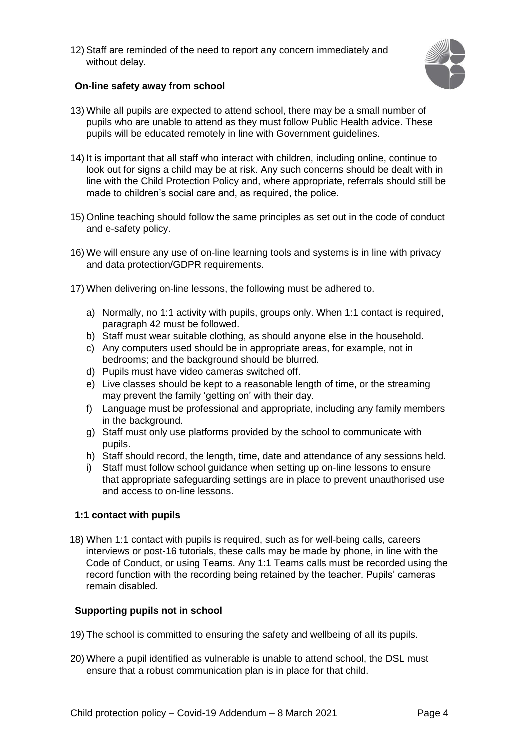12) Staff are reminded of the need to report any concern immediately and without delay.



## **On-line safety away from school**

- 13) While all pupils are expected to attend school, there may be a small number of pupils who are unable to attend as they must follow Public Health advice. These pupils will be educated remotely in line with Government guidelines.
- 14) It is important that all staff who interact with children, including online, continue to look out for signs a child may be at risk. Any such concerns should be dealt with in line with the Child Protection Policy and, where appropriate, referrals should still be made to children's social care and, as required, the police.
- 15) Online teaching should follow the same principles as set out in the code of conduct and e-safety policy.
- 16) We will ensure any use of on-line learning tools and systems is in line with privacy and data protection/GDPR requirements.
- 17) When delivering on-line lessons, the following must be adhered to.
	- a) Normally, no 1:1 activity with pupils, groups only. When 1:1 contact is required, paragraph 42 must be followed.
	- b) Staff must wear suitable clothing, as should anyone else in the household.
	- c) Any computers used should be in appropriate areas, for example, not in bedrooms; and the background should be blurred.
	- d) Pupils must have video cameras switched off.
	- e) Live classes should be kept to a reasonable length of time, or the streaming may prevent the family 'getting on' with their day.
	- f) Language must be professional and appropriate, including any family members in the background.
	- g) Staff must only use platforms provided by the school to communicate with pupils.
	- h) Staff should record, the length, time, date and attendance of any sessions held.
	- i) Staff must follow school guidance when setting up on-line lessons to ensure that appropriate safeguarding settings are in place to prevent unauthorised use and access to on-line lessons.

### **1:1 contact with pupils**

18) When 1:1 contact with pupils is required, such as for well-being calls, careers interviews or post-16 tutorials, these calls may be made by phone, in line with the Code of Conduct, or using Teams. Any 1:1 Teams calls must be recorded using the record function with the recording being retained by the teacher. Pupils' cameras remain disabled.

### **Supporting pupils not in school**

- 19) The school is committed to ensuring the safety and wellbeing of all its pupils.
- 20) Where a pupil identified as vulnerable is unable to attend school, the DSL must ensure that a robust communication plan is in place for that child.